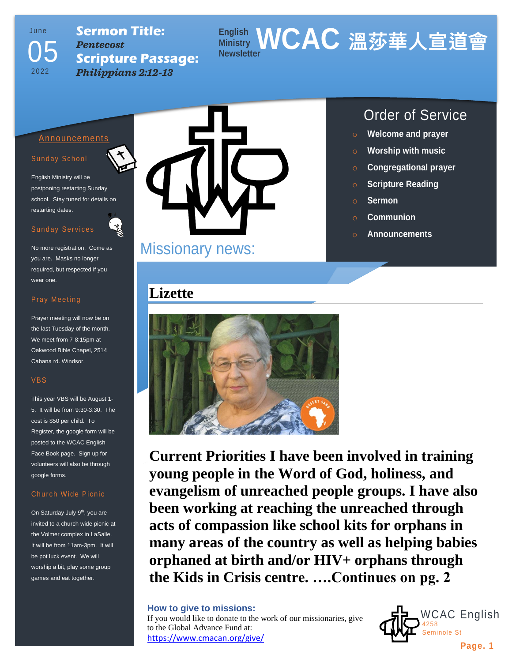# Ju n e 2022 05

### **Sermon Title:** *Pentecost* **Scripture Passage:** *Philippians 2:12-13*

### **English Ministry WCAC 溫莎華人宣道會 Newsletter**

### Announcements

### Sunday School

English Ministry will be postponing restarting Sunday school. Stay tuned for details on restarting dates.

### Sunday Services

No more registration. Come as you are. Masks no longer required, but respected if you wear one.

### Pray Meeting

Prayer meeting will now be on the last Tuesday of the month. We meet from 7-8:15pm at Oakwood Bible Chapel, 2514 Cabana rd. Windsor.

#### VBS

This year VBS will be August 1- 5. It will be from 9:30-3:30. The cost is \$50 per child. To Register, the google form will be posted to the WCAC English Face Book page. Sign up for volunteers will also be through google forms.

### Church Wide Picnic

On Saturday July 9<sup>th</sup>, you are invited to a church wide picnic at the Volmer complex in LaSalle. It will be from 11am-3pm. It will be pot luck event. We will worship a bit, play some group games and eat together.



# Missionary news:

## **Lizette**



**Current Priorities I have been involved in training young people in the Word of God, holiness, and evangelism of unreached people groups. I have also been working at reaching the unreached through acts of compassion like school kits for orphans in many areas of the country as well as helping babies orphaned at birth and/or HIV+ orphans through the Kids in Crisis centre. ….Continues on pg. 2**

### **How to give to missions:**

If you would like to donate to the work of our missionaries, give to the Global Advance Fund at: <https://www.cmacan.org/give/>

## Order of Service

- o **Welcome and prayer**
- o **Worship with music**
- o **Congregational prayer**
- o **Scripture Reading**
- o **Sermon**
- o **Communion**
- o **Announcements**